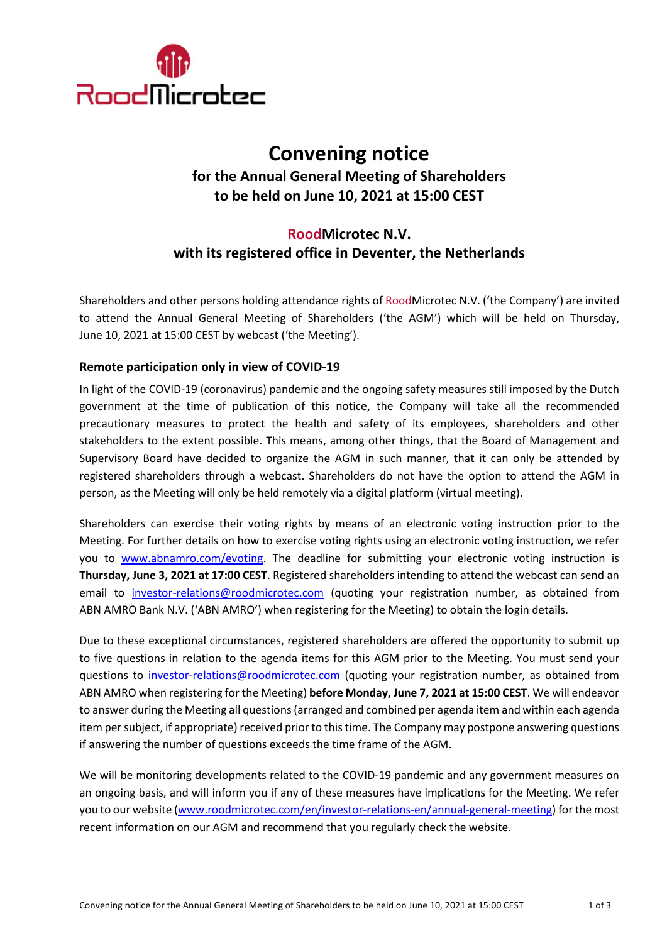

# **Convening notice for the Annual General Meeting of Shareholders to be held on June 10, 2021 at 15:00 CEST**

# **RoodMicrotec N.V. with its registered office in Deventer, the Netherlands**

Shareholders and other persons holding attendance rights of RoodMicrotec N.V. ('the Company') are invited to attend the Annual General Meeting of Shareholders ('the AGM') which will be held on Thursday, June 10, 2021 at 15:00 CEST by webcast ('the Meeting').

# **Remote participation only in view of COVID-19**

In light of the COVID-19 (coronavirus) pandemic and the ongoing safety measures still imposed by the Dutch government at the time of publication of this notice, the Company will take all the recommended precautionary measures to protect the health and safety of its employees, shareholders and other stakeholders to the extent possible. This means, among other things, that the Board of Management and Supervisory Board have decided to organize the AGM in such manner, that it can only be attended by registered shareholders through a webcast. Shareholders do not have the option to attend the AGM in person, as the Meeting will only be held remotely via a digital platform (virtual meeting).

Shareholders can exercise their voting rights by means of an electronic voting instruction prior to the Meeting. For further details on how to exercise voting rights using an electronic voting instruction, we refer you to [www.abnamro.com/evoting.](http://www.abnamro.com/evoting) The deadline for submitting your electronic voting instruction is **Thursday, June 3, 2021 at 17:00 CEST**. Registered shareholders intending to attend the webcast can send an email to [investor-relations@roodmicrotec.com](mailto:investor-relations@roodmicrotec.com) (quoting your registration number, as obtained from ABN AMRO Bank N.V. ('ABN AMRO') when registering for the Meeting) to obtain the login details.

Due to these exceptional circumstances, registered shareholders are offered the opportunity to submit up to five questions in relation to the agenda items for this AGM prior to the Meeting. You must send your questions to [investor-relations@roodmicrotec.com](mailto:investor-relations@roodmicrotec.com) (quoting your registration number, as obtained from ABN AMRO when registering for the Meeting) **before Monday, June 7, 2021 at 15:00 CEST**. We will endeavor to answer during the Meeting all questions (arranged and combined per agenda item and within each agenda item per subject, if appropriate) received prior to this time. The Company may postpone answering questions if answering the number of questions exceeds the time frame of the AGM.

We will be monitoring developments related to the COVID-19 pandemic and any government measures on an ongoing basis, and will inform you if any of these measures have implications for the Meeting. We refer you to our website [\(www.roodmicrotec.com/en/investor-relations-en/annual-general-meeting\)](http://www.roodmicrotec.com/en/investor-relations-en/annual-general-meeting) for the most recent information on our AGM and recommend that you regularly check the website.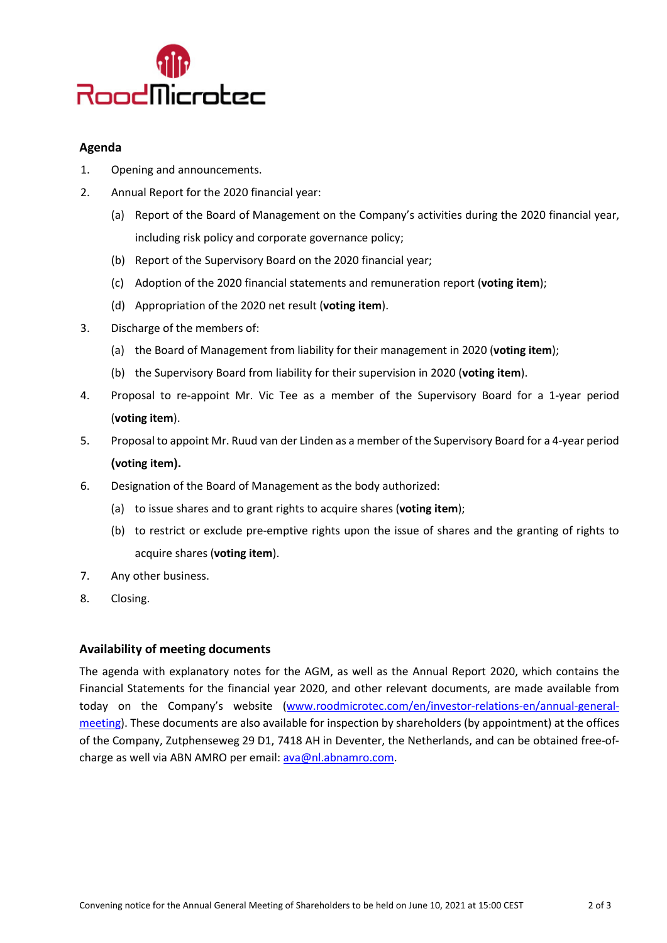

# **Agenda**

- 1. Opening and announcements.
- 2. Annual Report for the 2020 financial year:
	- (a) Report of the Board of Management on the Company's activities during the 2020 financial year, including risk policy and corporate governance policy;
	- (b) Report of the Supervisory Board on the 2020 financial year;
	- (c) Adoption of the 2020 financial statements and remuneration report (**voting item**);
	- (d) Appropriation of the 2020 net result (**voting item**).
- 3. Discharge of the members of:
	- (a) the Board of Management from liability for their management in 2020 (**voting item**);
	- (b) the Supervisory Board from liability for their supervision in 2020 (**voting item**).
- 4. Proposal to re-appoint Mr. Vic Tee as a member of the Supervisory Board for a 1-year period (**voting item**).
- 5. Proposal to appoint Mr. Ruud van der Linden as a member of the Supervisory Board for a 4-year period **(voting item).**
- 6. Designation of the Board of Management as the body authorized:
	- (a) to issue shares and to grant rights to acquire shares (**voting item**);
	- (b) to restrict or exclude pre-emptive rights upon the issue of shares and the granting of rights to acquire shares (**voting item**).
- 7. Any other business.
- 8. Closing.

#### **Availability of meeting documents**

The agenda with explanatory notes for the AGM, as well as the Annual Report 2020, which contains the Financial Statements for the financial year 2020, and other relevant documents, are made available from today on the Company's website [\(www.roodmicrotec.com/en/investor-relations-en/annual-general](http://www.roodmicrotec.com/en/investor-relations-en/annual-general-meeting)[meeting\)](http://www.roodmicrotec.com/en/investor-relations-en/annual-general-meeting). These documents are also available for inspection by shareholders (by appointment) at the offices of the Company, Zutphenseweg 29 D1, 7418 AH in Deventer, the Netherlands, and can be obtained free-ofcharge as well via ABN AMRO per email: [ava@nl.abnamro.com.](mailto:ava@nl.abnamro.com)